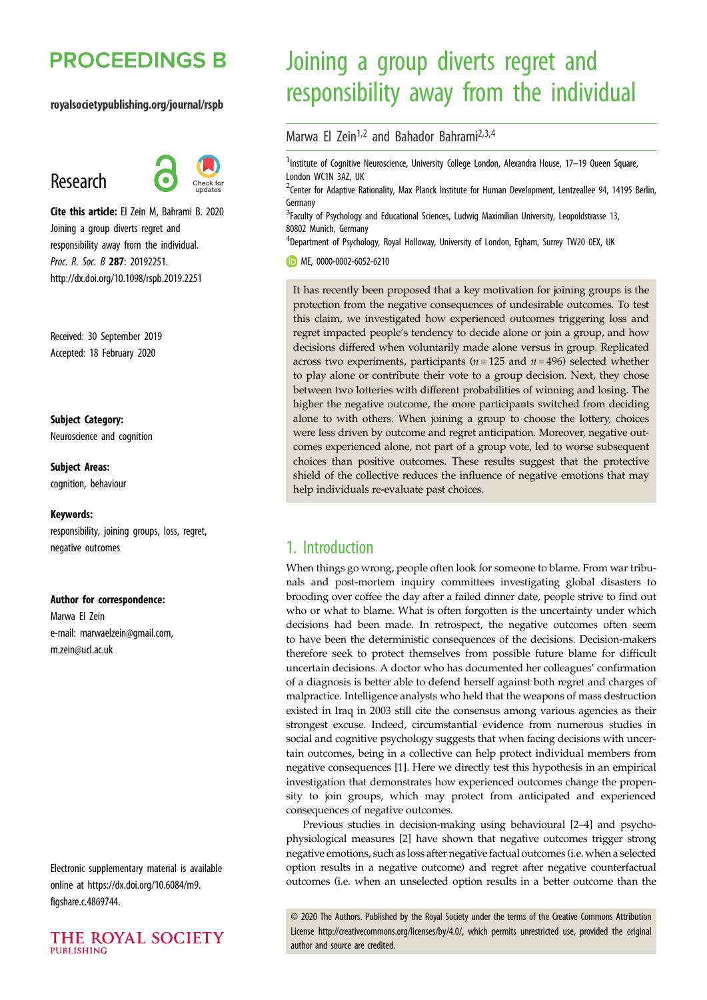# **PROCEEDINGS B**

### royalsocietypublishing.org/journal/rspb

## Research



Cite this article: El Zein M, Bahrami B. 2020 Joining a group diverts regret and responsibility away from the individual. Proc. R. Soc. B 287: 20192251. http://dx.doi.org/10.1098/rspb.2019.2251

Received: 30 September 2019 Accepted: 18 February 2020

Subject Category: Neuroscience and cognition

Subject Areas: cognition, behaviour

#### Keywords:

responsibility, joining groups, loss, regret, negative outcomes

#### Author for correspondence:

Marwa El Zein e-mail: [marwaelzein@gmail.com,](mailto:marwaelzein@gmail.com) [m.zein@ucl.ac.uk](mailto:m.zein@ucl.ac.uk)

Electronic supplementary material is available online at [https://dx.doi.org/10.6084/m9.](https://dx.doi.org/10.6084/m9.figshare.c.4869744) [figshare.c.4869744](https://dx.doi.org/10.6084/m9.figshare.c.4869744).



# Joining a group diverts regret and responsibility away from the individual

Marwa El Zein<sup>1,2</sup> and Bahador Bahrami<sup>2,3,4</sup>

<sup>1</sup>Institute of Cognitive Neuroscience, University College London, Alexandra House, 17-19 Queen Square, London WC1N 3AZ, UK

<sup>2</sup> Center for Adaptive Rationality, Max Planck Institute for Human Development, Lentzeallee 94, 14195 Berlin, Germany

<sup>3</sup> Faculty of Psychology and Educational Sciences, Ludwig Maximilian University, Leopoldstrasse 13, 80802 Munich, Germany

<sup>4</sup>Department of Psychology, Royal Holloway, University of London, Egham, Surrey TW20 0EX, UK

### ME, [0000-0002-6052-6210](http://orcid.org/0000-0002-6052-6210)

It has recently been proposed that a key motivation for joining groups is the protection from the negative consequences of undesirable outcomes. To test this claim, we investigated how experienced outcomes triggering loss and regret impacted people's tendency to decide alone or join a group, and how decisions differed when voluntarily made alone versus in group. Replicated across two experiments, participants ( $n = 125$  and  $n = 496$ ) selected whether to play alone or contribute their vote to a group decision. Next, they chose between two lotteries with different probabilities of winning and losing. The higher the negative outcome, the more participants switched from deciding alone to with others. When joining a group to choose the lottery, choices were less driven by outcome and regret anticipation. Moreover, negative outcomes experienced alone, not part of a group vote, led to worse subsequent choices than positive outcomes. These results suggest that the protective shield of the collective reduces the influence of negative emotions that may help individuals re-evaluate past choices.

### 1. Introduction

When things go wrong, people often look for someone to blame. From war tribunals and post-mortem inquiry committees investigating global disasters to brooding over coffee the day after a failed dinner date, people strive to find out who or what to blame. What is often forgotten is the uncertainty under which decisions had been made. In retrospect, the negative outcomes often seem to have been the deterministic consequences of the decisions. Decision-makers therefore seek to protect themselves from possible future blame for difficult uncertain decisions. A doctor who has documented her colleagues' confirmation of a diagnosis is better able to defend herself against both regret and charges of malpractice. Intelligence analysts who held that the weapons of mass destruction existed in Iraq in 2003 still cite the consensus among various agencies as their strongest excuse. Indeed, circumstantial evidence from numerous studies in social and cognitive psychology suggests that when facing decisions with uncertain outcomes, being in a collective can help protect individual members from negative consequences [\[1\]](#page-7-0). Here we directly test this hypothesis in an empirical investigation that demonstrates how experienced outcomes change the propensity to join groups, which may protect from anticipated and experienced consequences of negative outcomes.

Previous studies in decision-making using behavioural [\[2](#page-7-0)–[4](#page-7-0)] and psychophysiological measures [\[2\]](#page-7-0) have shown that negative outcomes trigger strong negative emotions, such as loss after negative factual outcomes (i.e. when a selected option results in a negative outcome) and regret after negative counterfactual outcomes (i.e. when an unselected option results in a better outcome than the

© 2020 The Authors. Published by the Royal Society under the terms of the Creative Commons Attribution License<http://creativecommons.org/licenses/by/4.0/>, which permits unrestricted use, provided the original author and source are credited.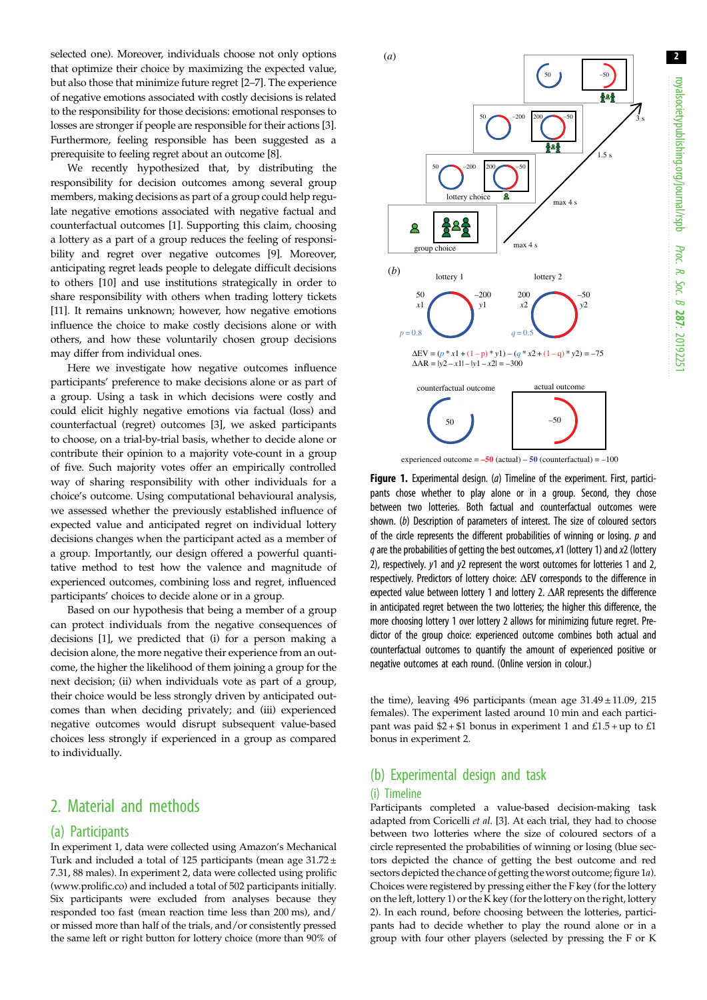3 s

<span id="page-1-0"></span>selected one). Moreover, individuals choose not only options that optimize their choice by maximizing the expected value, but also those that minimize future regret [[2](#page-7-0)–[7\]](#page-7-0). The experience of negative emotions associated with costly decisions is related to the responsibility for those decisions: emotional responses to losses are stronger if people are responsible for their actions [\[3](#page-7-0)]. Furthermore, feeling responsible has been suggested as a prerequisite to feeling regret about an outcome [\[8](#page-7-0)].

We recently hypothesized that, by distributing the responsibility for decision outcomes among several group members, making decisions as part of a group could help regulate negative emotions associated with negative factual and counterfactual outcomes [[1](#page-7-0)]. Supporting this claim, choosing a lottery as a part of a group reduces the feeling of responsibility and regret over negative outcomes [\[9\]](#page-7-0). Moreover, anticipating regret leads people to delegate difficult decisions to others [\[10](#page-7-0)] and use institutions strategically in order to share responsibility with others when trading lottery tickets [\[11\]](#page-7-0). It remains unknown; however, how negative emotions influence the choice to make costly decisions alone or with others, and how these voluntarily chosen group decisions may differ from individual ones.

Here we investigate how negative outcomes influence participants' preference to make decisions alone or as part of a group. Using a task in which decisions were costly and could elicit highly negative emotions via factual (loss) and counterfactual (regret) outcomes [\[3\]](#page-7-0), we asked participants to choose, on a trial-by-trial basis, whether to decide alone or contribute their opinion to a majority vote-count in a group of five. Such majority votes offer an empirically controlled way of sharing responsibility with other individuals for a choice's outcome. Using computational behavioural analysis, we assessed whether the previously established influence of expected value and anticipated regret on individual lottery decisions changes when the participant acted as a member of a group. Importantly, our design offered a powerful quantitative method to test how the valence and magnitude of experienced outcomes, combining loss and regret, influenced participants' choices to decide alone or in a group.

Based on our hypothesis that being a member of a group can protect individuals from the negative consequences of decisions [[1](#page-7-0)], we predicted that (i) for a person making a decision alone, the more negative their experience from an outcome, the higher the likelihood of them joining a group for the next decision; (ii) when individuals vote as part of a group, their choice would be less strongly driven by anticipated outcomes than when deciding privately; and (iii) experienced negative outcomes would disrupt subsequent value-based choices less strongly if experienced in a group as compared to individually.

### 2. Material and methods

### (a) Participants

In experiment 1, data were collected using Amazon's Mechanical Turk and included a total of 125 participants (mean age 31.72 ± 7.31, 88 males). In experiment 2, data were collected using prolific [\(www.prolific.co\)](http://www.prolific.co) and included a total of 502 participants initially. Six participants were excluded from analyses because they responded too fast (mean reaction time less than 200 ms), and/ or missed more than half of the trials, and/or consistently pressed the same left or right button for lottery choice (more than 90% of



experienced outcome  $= -50$  (actual)  $-50$  (counterfactual)  $= -100$ 

Figure 1. Experimental design. (a) Timeline of the experiment. First, participants chose whether to play alone or in a group. Second, they chose between two lotteries. Both factual and counterfactual outcomes were shown. (b) Description of parameters of interest. The size of coloured sectors of the circle represents the different probabilities of winning or losing.  $p$  and  $q$  are the probabilities of getting the best outcomes, x1 (lottery 1) and x2 (lottery 2), respectively. y1 and y2 represent the worst outcomes for lotteries 1 and 2, respectively. Predictors of lottery choice: ΔEV corresponds to the difference in expected value between lottery 1 and lottery 2. ΔAR represents the difference in anticipated regret between the two lotteries; the higher this difference, the more choosing lottery 1 over lottery 2 allows for minimizing future regret. Predictor of the group choice: experienced outcome combines both actual and counterfactual outcomes to quantify the amount of experienced positive or negative outcomes at each round. (Online version in colour.)

the time), leaving 496 participants (mean age  $31.49 \pm 11.09$ , 215 females). The experiment lasted around 10 min and each participant was paid  $$2 + $1$  bonus in experiment 1 and  $£1.5 + up$  to  $£1$ bonus in experiment 2.

## (b) Experimental design and task

### (i) Timeline

Participants completed a value-based decision-making task adapted from Coricelli et al. [\[3](#page-7-0)]. At each trial, they had to choose between two lotteries where the size of coloured sectors of a circle represented the probabilities of winning or losing (blue sectors depicted the chance of getting the best outcome and red sectors depicted the chance of getting theworst outcome; figure 1a). Choices were registered by pressing either the F key (for the lottery on the left, lottery 1) or the K key (for the lottery on the right, lottery 2). In each round, before choosing between the lotteries, participants had to decide whether to play the round alone or in a group with four other players (selected by pressing the F or K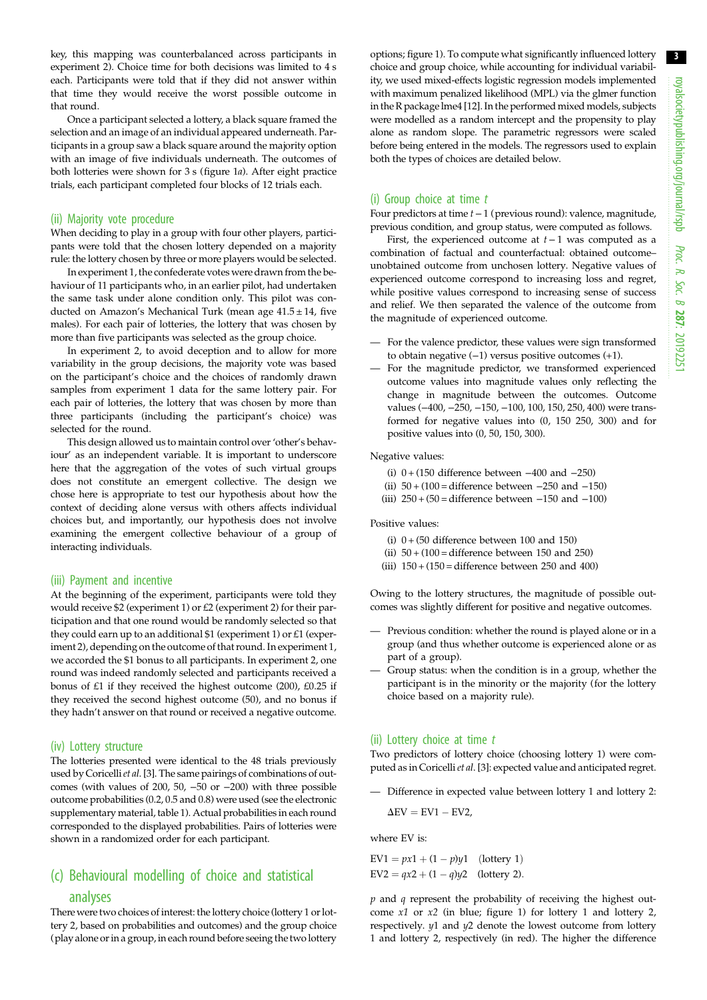key, this mapping was counterbalanced across participants in experiment 2). Choice time for both decisions was limited to 4 s each. Participants were told that if they did not answer within that time they would receive the worst possible outcome in that round.

Once a participant selected a lottery, a black square framed the selection and an image of an individual appeared underneath. Participants in a group saw a black square around the majority option with an image of five individuals underneath. The outcomes of both lotteries were shown for 3 s [\(figure 1](#page-1-0)a). After eight practice trials, each participant completed four blocks of 12 trials each.

#### (ii) Majority vote procedure

When deciding to play in a group with four other players, participants were told that the chosen lottery depended on a majority rule: the lottery chosen by three or more players would be selected.

In experiment 1, the confederate votes were drawn from the behaviour of 11 participants who, in an earlier pilot, had undertaken the same task under alone condition only. This pilot was conducted on Amazon's Mechanical Turk (mean age  $41.5 \pm 14$ , five males). For each pair of lotteries, the lottery that was chosen by more than five participants was selected as the group choice.

In experiment 2, to avoid deception and to allow for more variability in the group decisions, the majority vote was based on the participant's choice and the choices of randomly drawn samples from experiment 1 data for the same lottery pair. For each pair of lotteries, the lottery that was chosen by more than three participants (including the participant's choice) was selected for the round.

This design allowed us to maintain control over'other's behaviour' as an independent variable. It is important to underscore here that the aggregation of the votes of such virtual groups does not constitute an emergent collective. The design we chose here is appropriate to test our hypothesis about how the context of deciding alone versus with others affects individual choices but, and importantly, our hypothesis does not involve examining the emergent collective behaviour of a group of interacting individuals.

#### (iii) Payment and incentive

At the beginning of the experiment, participants were told they would receive \$2 (experiment 1) or £2 (experiment 2) for their participation and that one round would be randomly selected so that they could earn up to an additional \$1 (experiment 1) or £1 (experiment 2), depending on the outcome of that round. In experiment 1, we accorded the \$1 bonus to all participants. In experiment 2, one round was indeed randomly selected and participants received a bonus of £1 if they received the highest outcome (200), £0.25 if they received the second highest outcome (50), and no bonus if they hadn't answer on that round or received a negative outcome.

#### (iv) Lottery structure

The lotteries presented were identical to the 48 trials previously used by Coricelli et al. [\[3\]](#page-7-0). The same pairings of combinations of outcomes (with values of 200, 50, −50 or −200) with three possible outcome probabilities (0.2, 0.5 and 0.8) were used (see the electronic supplementary material, table 1). Actual probabilities in each round corresponded to the displayed probabilities. Pairs of lotteries were shown in a randomized order for each participant.

### (c) Behavioural modelling of choice and statistical analyses

There were two choices of interest: the lottery choice (lottery 1 or lottery 2, based on probabilities and outcomes) and the group choice (play alone or in a group, in each round before seeing the two lottery options; [figure 1](#page-1-0)). To compute what significantly influenced lottery choice and group choice, while accounting for individual variability, we used mixed-effects logistic regression models implemented with maximum penalized likelihood (MPL) via the glmer function in the R package lme4 [\[12\]](#page-7-0). In the performed mixed models, subjects were modelled as a random intercept and the propensity to play alone as random slope. The parametric regressors were scaled before being entered in the models. The regressors used to explain both the types of choices are detailed below.

### (i) Group choice at time  $t$

Four predictors at time t−1 (previous round): valence, magnitude, previous condition, and group status, were computed as follows.

First, the experienced outcome at  $t-1$  was computed as a combination of factual and counterfactual: obtained outcome– unobtained outcome from unchosen lottery. Negative values of experienced outcome correspond to increasing loss and regret, while positive values correspond to increasing sense of success and relief. We then separated the valence of the outcome from the magnitude of experienced outcome.

- For the valence predictor, these values were sign transformed to obtain negative (−1) versus positive outcomes (+1).
- For the magnitude predictor, we transformed experienced outcome values into magnitude values only reflecting the change in magnitude between the outcomes. Outcome values (−400, −250, −150, −100, 100, 150, 250, 400) were transformed for negative values into (0, 150 250, 300) and for positive values into (0, 50, 150, 300).

Negative values:

- (i) 0 + (150 difference between −400 and −250)
- (ii)  $50 + (100) =$  difference between  $-250$  and  $-150$ )
- (iii)  $250 + (50) =$  difference between  $-150$  and  $-100$ )

Positive values:

- (i)  $0 + (50$  difference between 100 and 150)
- (ii)  $50 + (100)$  = difference between 150 and 250)
- (iii)  $150 + (150) =$  difference between 250 and 400)

Owing to the lottery structures, the magnitude of possible outcomes was slightly different for positive and negative outcomes.

- Previous condition: whether the round is played alone or in a group (and thus whether outcome is experienced alone or as part of a group).
- Group status: when the condition is in a group, whether the participant is in the minority or the majority (for the lottery choice based on a majority rule).

#### (ii) Lottery choice at time t

Two predictors of lottery choice (choosing lottery 1) were com-puted as in Coricelli et al. [[3](#page-7-0)]: expected value and anticipated regret.

— Difference in expected value between lottery 1 and lottery 2:  $\Delta$ EV = EV1 - EV2,

where EV is:

 $EV1 = px1 + (1 - p)y1$  (lottery 1)  $EV2 = qx2 + (1 - q)y2$  (lottery 2).

 $p$  and  $q$  represent the probability of receiving the highest outcome x1 or x2 (in blue; [figure 1](#page-1-0)) for lottery 1 and lottery 2, respectively. y1 and y2 denote the lowest outcome from lottery 1 and lottery 2, respectively (in red). The higher the difference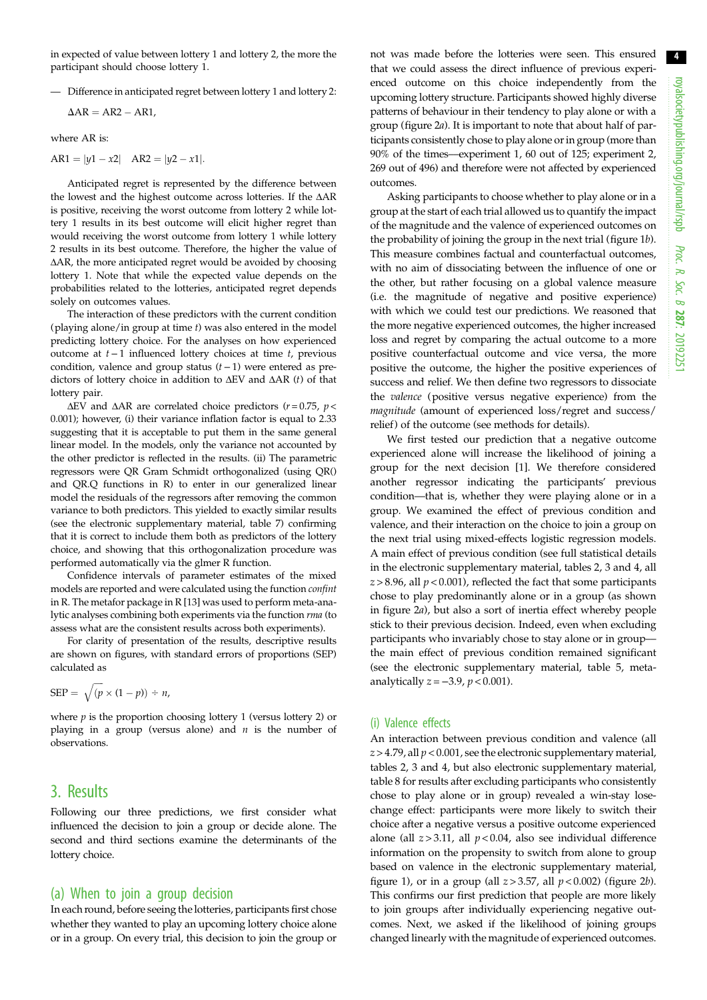in expected of value between lottery 1 and lottery 2, the more the participant should choose lottery 1.

— Difference in anticipated regret between lottery 1 and lottery 2:

 $\Delta AR = AR2 - AR1,$ 

where AR is:

$$
AR1 = |y1 - x2| \quad AR2 = |y2 - x1|.
$$

Anticipated regret is represented by the difference between the lowest and the highest outcome across lotteries. If the ΔAR is positive, receiving the worst outcome from lottery 2 while lottery 1 results in its best outcome will elicit higher regret than would receiving the worst outcome from lottery 1 while lottery 2 results in its best outcome. Therefore, the higher the value of ΔAR, the more anticipated regret would be avoided by choosing lottery 1. Note that while the expected value depends on the probabilities related to the lotteries, anticipated regret depends solely on outcomes values.

The interaction of these predictors with the current condition (playing alone/in group at time t) was also entered in the model predicting lottery choice. For the analyses on how experienced outcome at  $t$  −1 influenced lottery choices at time  $t$ , previous condition, valence and group status (t− 1) were entered as predictors of lottery choice in addition to  $\Delta$ EV and  $\Delta$ AR (t) of that lottery pair.

ΔEV and ΔAR are correlated choice predictors ( $r = 0.75$ ,  $p <$ 0.001); however, (i) their variance inflation factor is equal to 2.33 suggesting that it is acceptable to put them in the same general linear model. In the models, only the variance not accounted by the other predictor is reflected in the results. (ii) The parametric regressors were QR Gram Schmidt orthogonalized (using QR() and QR.Q functions in R) to enter in our generalized linear model the residuals of the regressors after removing the common variance to both predictors. This yielded to exactly similar results (see the electronic supplementary material, table 7) confirming that it is correct to include them both as predictors of the lottery choice, and showing that this orthogonalization procedure was performed automatically via the glmer R function.

Confidence intervals of parameter estimates of the mixed models are reported and were calculated using the function confint in R. The metafor package in R [\[13\]](#page-7-0) was used to perform meta-analytic analyses combining both experiments via the function rma (to assess what are the consistent results across both experiments).

For clarity of presentation of the results, descriptive results are shown on figures, with standard errors of proportions (SEP) calculated as

$$
SEP = \sqrt{(p \times (1-p))} \div n,
$$

where  $p$  is the proportion choosing lottery 1 (versus lottery 2) or playing in a group (versus alone) and  $n$  is the number of observations.

### 3. Results

Following our three predictions, we first consider what influenced the decision to join a group or decide alone. The second and third sections examine the determinants of the lottery choice.

### (a) When to join a group decision

In each round, before seeing the lotteries, participants first chose whether they wanted to play an upcoming lottery choice alone or in a group. On every trial, this decision to join the group or not was made before the lotteries were seen. This ensured that we could assess the direct influence of previous experienced outcome on this choice independently from the upcoming lottery structure. Participants showed highly diverse patterns of behaviour in their tendency to play alone or with a group [\(figure 2](#page-4-0)a). It is important to note that about half of participants consistently chose to play alone or in group (more than 90% of the times––experiment 1, 60 out of 125; experiment 2, 269 out of 496) and therefore were not affected by experienced outcomes.

Asking participants to choose whether to play alone or in a group at the start of each trial allowed us to quantify the impact of the magnitude and the valence of experienced outcomes on the probability of joining the group in the next trial [\(figure 1](#page-1-0)b). This measure combines factual and counterfactual outcomes, with no aim of dissociating between the influence of one or the other, but rather focusing on a global valence measure (i.e. the magnitude of negative and positive experience) with which we could test our predictions. We reasoned that the more negative experienced outcomes, the higher increased loss and regret by comparing the actual outcome to a more positive counterfactual outcome and vice versa, the more positive the outcome, the higher the positive experiences of success and relief. We then define two regressors to dissociate the valence (positive versus negative experience) from the magnitude (amount of experienced loss/regret and success/ relief) of the outcome (see methods for details).

We first tested our prediction that a negative outcome experienced alone will increase the likelihood of joining a group for the next decision [[1](#page-7-0)]. We therefore considered another regressor indicating the participants' previous condition—that is, whether they were playing alone or in a group. We examined the effect of previous condition and valence, and their interaction on the choice to join a group on the next trial using mixed-effects logistic regression models. A main effect of previous condition (see full statistical details in the electronic supplementary material, tables 2, 3 and 4, all  $z > 8.96$ , all  $p < 0.001$ ), reflected the fact that some participants chose to play predominantly alone or in a group (as shown in [figure 2](#page-4-0)a), but also a sort of inertia effect whereby people stick to their previous decision. Indeed, even when excluding participants who invariably chose to stay alone or in group–– the main effect of previous condition remained significant (see the electronic supplementary material, table 5, metaanalytically  $z = -3.9$ ,  $p < 0.001$ ).

### (i) Valence effects

An interaction between previous condition and valence (all  $z > 4.79$ , all  $p < 0.001$ , see the electronic supplementary material, tables 2, 3 and 4, but also electronic supplementary material, table 8 for results after excluding participants who consistently chose to play alone or in group) revealed a win-stay losechange effect: participants were more likely to switch their choice after a negative versus a positive outcome experienced alone (all  $z > 3.11$ , all  $p < 0.04$ , also see individual difference information on the propensity to switch from alone to group based on valence in the electronic supplementary material, figure 1), or in a group (all  $z > 3.57$ , all  $p < 0.002$ ) [\(figure 2](#page-4-0)*b*). This confirms our first prediction that people are more likely to join groups after individually experiencing negative outcomes. Next, we asked if the likelihood of joining groups changed linearly with the magnitude of experienced outcomes.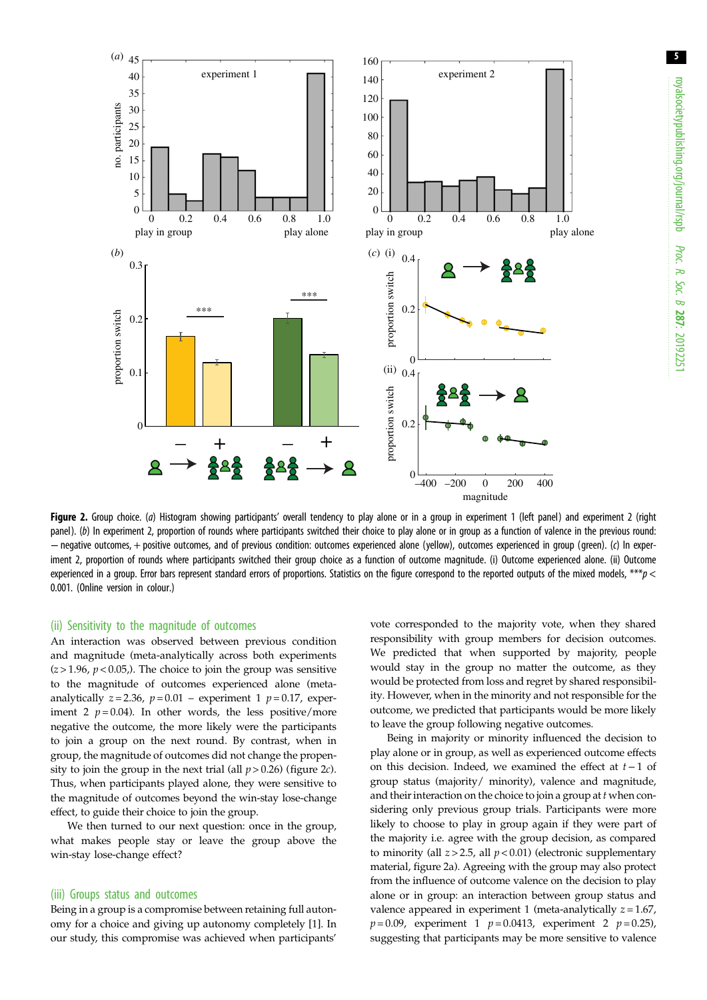<span id="page-4-0"></span>

Figure 2. Group choice. (a) Histogram showing participants' overall tendency to play alone or in a group in experiment 1 (left panel) and experiment 2 (right panel). (b) In experiment 2, proportion of rounds where participants switched their choice to play alone or in group as a function of valence in the previous round: −negative outcomes, + positive outcomes, and of previous condition: outcomes experienced alone (yellow), outcomes experienced in group (green). (c) In experiment 2, proportion of rounds where participants switched their group choice as a function of outcome magnitude. (i) Outcome experienced alone. (ii) Outcome experienced in a group. Error bars represent standard errors of proportions. Statistics on the figure correspond to the reported outputs of the mixed models, \*\*\*p < 0.001. (Online version in colour.)

#### (ii) Sensitivity to the magnitude of outcomes

An interaction was observed between previous condition and magnitude (meta-analytically across both experiments  $(z > 1.96, p < 0.05)$ . The choice to join the group was sensitive to the magnitude of outcomes experienced alone (metaanalytically  $z = 2.36$ ,  $p = 0.01$  – experiment 1  $p = 0.17$ , experiment 2  $p = 0.04$ ). In other words, the less positive/more negative the outcome, the more likely were the participants to join a group on the next round. By contrast, when in group, the magnitude of outcomes did not change the propensity to join the group in the next trial (all  $p > 0.26$ ) (figure 2*c*). Thus, when participants played alone, they were sensitive to the magnitude of outcomes beyond the win-stay lose-change effect, to guide their choice to join the group.

We then turned to our next question: once in the group, what makes people stay or leave the group above the win-stay lose-change effect?

#### (iii) Groups status and outcomes

Being in a group is a compromise between retaining full autonomy for a choice and giving up autonomy completely [[1](#page-7-0)]. In our study, this compromise was achieved when participants'

vote corresponded to the majority vote, when they shared responsibility with group members for decision outcomes. We predicted that when supported by majority, people would stay in the group no matter the outcome, as they would be protected from loss and regret by shared responsibility. However, when in the minority and not responsible for the outcome, we predicted that participants would be more likely to leave the group following negative outcomes.

Being in majority or minority influenced the decision to play alone or in group, as well as experienced outcome effects on this decision. Indeed, we examined the effect at t−1 of group status (majority/ minority), valence and magnitude, and their interaction on the choice to join a group at t when considering only previous group trials. Participants were more likely to choose to play in group again if they were part of the majority i.e. agree with the group decision, as compared to minority (all  $z > 2.5$ , all  $p < 0.01$ ) (electronic supplementary material, figure 2a). Agreeing with the group may also protect from the influence of outcome valence on the decision to play alone or in group: an interaction between group status and valence appeared in experiment 1 (meta-analytically  $z = 1.67$ ,  $p = 0.09$ , experiment 1  $p = 0.0413$ , experiment 2  $p = 0.25$ ), suggesting that participants may be more sensitive to valence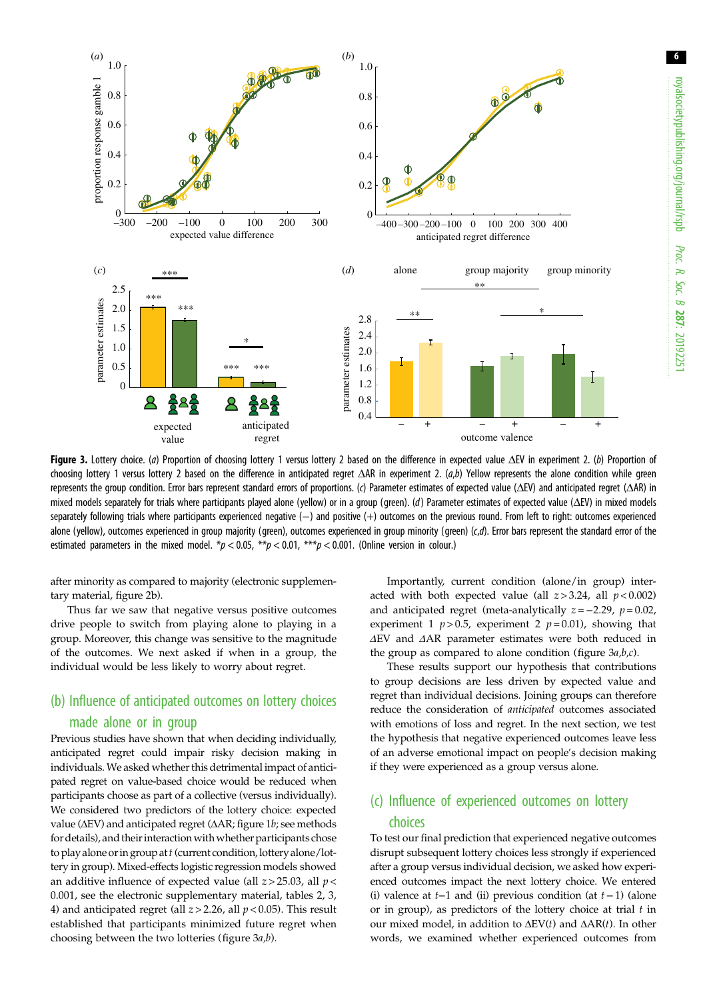<span id="page-5-0"></span>

Figure 3. Lottery choice. (a) Proportion of choosing lottery 1 versus lottery 2 based on the difference in expected value ΔEV in experiment 2. (b) Proportion of choosing lottery 1 versus lottery 2 based on the difference in anticipated regret ΔAR in experiment 2.  $(a,b)$  Yellow represents the alone condition while green represents the group condition. Error bars represent standard errors of proportions. (c) Parameter estimates of expected value (ΔEV) and anticipated regret (ΔAR) in mixed models separately for trials where participants played alone (yellow) or in a group (green). (d) Parameter estimates of expected value ( $\Delta$ EV) in mixed models separately following trials where participants experienced negative (-) and positive (+) outcomes on the previous round. From left to right: outcomes experienced alone (yellow), outcomes experienced in group majority (green), outcomes experienced in group minority (green) (c,d). Error bars represent the standard error of the estimated parameters in the mixed model.  $*p < 0.05$ ,  $**p < 0.01$ ,  $***p < 0.001$ . (Online version in colour.)

after minority as compared to majority (electronic supplementary material, figure 2b).

Thus far we saw that negative versus positive outcomes drive people to switch from playing alone to playing in a group. Moreover, this change was sensitive to the magnitude of the outcomes. We next asked if when in a group, the individual would be less likely to worry about regret.

### (b) Influence of anticipated outcomes on lottery choices made alone or in group

Previous studies have shown that when deciding individually, anticipated regret could impair risky decision making in individuals. We asked whether this detrimental impact of anticipated regret on value-based choice would be reduced when participants choose as part of a collective (versus individually). We considered two predictors of the lottery choice: expected value (ΔEV) and anticipated regret (ΔAR; [figure 1](#page-1-0)b; see methods for details), and their interaction with whether participants chose to play alone or in group at  $t$  (current condition, lottery alone/lottery in group). Mixed-effects logistic regression models showed an additive influence of expected value (all  $z > 25.03$ , all  $p <$ 0.001, see the electronic supplementary material, tables 2, 3, 4) and anticipated regret (all  $z > 2.26$ , all  $p < 0.05$ ). This result established that participants minimized future regret when choosing between the two lotteries (figure  $3a,b$ ).

Importantly, current condition (alone/in group) interacted with both expected value (all  $z > 3.24$ , all  $p < 0.002$ ) and anticipated regret (meta-analytically  $z = -2.29$ ,  $p = 0.02$ , experiment 1  $p > 0.5$ , experiment 2  $p = 0.01$ ), showing that ΔEV and ΔAR parameter estimates were both reduced in the group as compared to alone condition (figure  $3a,b,c$ ).

These results support our hypothesis that contributions to group decisions are less driven by expected value and regret than individual decisions. Joining groups can therefore reduce the consideration of anticipated outcomes associated with emotions of loss and regret. In the next section, we test the hypothesis that negative experienced outcomes leave less of an adverse emotional impact on people's decision making if they were experienced as a group versus alone.

### (c) Influence of experienced outcomes on lottery choices

To test our final prediction that experienced negative outcomes disrupt subsequent lottery choices less strongly if experienced after a group versus individual decision, we asked how experienced outcomes impact the next lottery choice. We entered (i) valence at  $t-1$  and (ii) previous condition (at  $t-1$ ) (alone or in group), as predictors of the lottery choice at trial  $t$  in our mixed model, in addition to  $ΔEV(t)$  and  $ΔAR(t)$ . In other words, we examined whether experienced outcomes from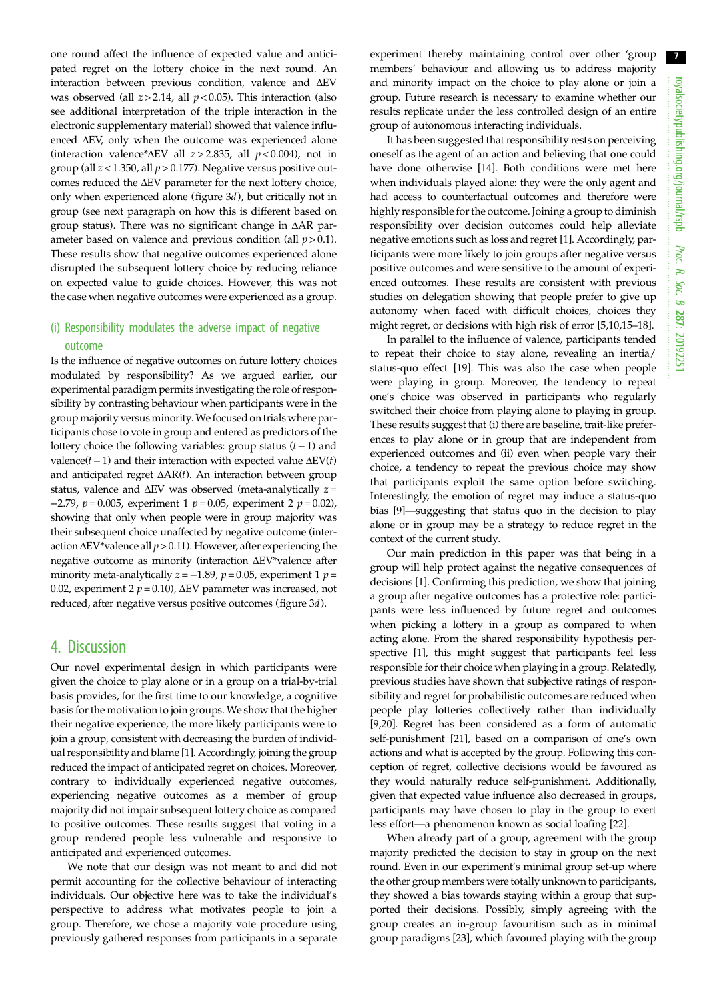one round affect the influence of expected value and anticipated regret on the lottery choice in the next round. An interaction between previous condition, valence and ΔEV was observed (all  $z > 2.14$ , all  $p < 0.05$ ). This interaction (also see additional interpretation of the triple interaction in the electronic supplementary material) showed that valence influenced ΔEV, only when the outcome was experienced alone (interaction valence\*ΔEV all  $z > 2.835$ , all  $p < 0.004$ ), not in group (all  $z$  < 1.350, all  $p$  > 0.177). Negative versus positive outcomes reduced the ΔEV parameter for the next lottery choice, only when experienced alone ([figure 3](#page-5-0)d), but critically not in group (see next paragraph on how this is different based on group status). There was no significant change in ΔAR parameter based on valence and previous condition (all  $p > 0.1$ ). These results show that negative outcomes experienced alone disrupted the subsequent lottery choice by reducing reliance on expected value to guide choices. However, this was not the case when negative outcomes were experienced as a group.

### (i) Responsibility modulates the adverse impact of negative outcome

Is the influence of negative outcomes on future lottery choices modulated by responsibility? As we argued earlier, our experimental paradigm permits investigating the role of responsibility by contrasting behaviour when participants were in the group majority versus minority.We focused on trials where participants chose to vote in group and entered as predictors of the lottery choice the following variables: group status (t−1) and valence( $t-1$ ) and their interaction with expected value  $\Delta$ EV( $t$ ) and anticipated regret  $\Delta AR(t)$ . An interaction between group status, valence and  $\Delta$ EV was observed (meta-analytically  $z =$  $-2.79$ ,  $p = 0.005$ , experiment 1  $p = 0.05$ , experiment 2  $p = 0.02$ ), showing that only when people were in group majority was their subsequent choice unaffected by negative outcome (interaction  $\Delta$ EV\*valence all  $p > 0.11$ ). However, after experiencing the negative outcome as minority (interaction ΔEV\*valence after minority meta-analytically  $z = -1.89$ ,  $p = 0.05$ , experiment 1  $p =$ 0.02, experiment 2  $p = 0.10$ ), ΔEV parameter was increased, not reduced, after negative versus positive outcomes ([figure 3](#page-5-0)d).

### 4. Discussion

Our novel experimental design in which participants were given the choice to play alone or in a group on a trial-by-trial basis provides, for the first time to our knowledge, a cognitive basis for the motivation to join groups. We show that the higher their negative experience, the more likely participants were to join a group, consistent with decreasing the burden of individual responsibility and blame [\[1\]](#page-7-0). Accordingly, joining the group reduced the impact of anticipated regret on choices. Moreover, contrary to individually experienced negative outcomes, experiencing negative outcomes as a member of group majority did not impair subsequent lottery choice as compared to positive outcomes. These results suggest that voting in a group rendered people less vulnerable and responsive to anticipated and experienced outcomes.

We note that our design was not meant to and did not permit accounting for the collective behaviour of interacting individuals. Our objective here was to take the individual's perspective to address what motivates people to join a group. Therefore, we chose a majority vote procedure using previously gathered responses from participants in a separate

experiment thereby maintaining control over other 'group members' behaviour and allowing us to address majority and minority impact on the choice to play alone or join a group. Future research is necessary to examine whether our results replicate under the less controlled design of an entire group of autonomous interacting individuals.

It has been suggested that responsibility rests on perceiving oneself as the agent of an action and believing that one could have done otherwise [\[14](#page-7-0)]. Both conditions were met here when individuals played alone: they were the only agent and had access to counterfactual outcomes and therefore were highly responsible for the outcome. Joining a group to diminish responsibility over decision outcomes could help alleviate negative emotions such as loss and regret [\[1\]](#page-7-0). Accordingly, participants were more likely to join groups after negative versus positive outcomes and were sensitive to the amount of experienced outcomes. These results are consistent with previous studies on delegation showing that people prefer to give up autonomy when faced with difficult choices, choices they might regret, or decisions with high risk of error [[5](#page-7-0),[10,](#page-7-0)[15](#page-8-0)–[18](#page-8-0)].

In parallel to the influence of valence, participants tended to repeat their choice to stay alone, revealing an inertia/ status-quo effect [[19\]](#page-8-0). This was also the case when people were playing in group. Moreover, the tendency to repeat one's choice was observed in participants who regularly switched their choice from playing alone to playing in group. These results suggest that (i) there are baseline, trait-like preferences to play alone or in group that are independent from experienced outcomes and (ii) even when people vary their choice, a tendency to repeat the previous choice may show that participants exploit the same option before switching. Interestingly, the emotion of regret may induce a status-quo bias [\[9\]](#page-7-0)––suggesting that status quo in the decision to play alone or in group may be a strategy to reduce regret in the context of the current study.

Our main prediction in this paper was that being in a group will help protect against the negative consequences of decisions [[1](#page-7-0)]. Confirming this prediction, we show that joining a group after negative outcomes has a protective role: participants were less influenced by future regret and outcomes when picking a lottery in a group as compared to when acting alone. From the shared responsibility hypothesis perspective [\[1\]](#page-7-0), this might suggest that participants feel less responsible for their choice when playing in a group. Relatedly, previous studies have shown that subjective ratings of responsibility and regret for probabilistic outcomes are reduced when people play lotteries collectively rather than individually [[9](#page-7-0)[,20](#page-8-0)]. Regret has been considered as a form of automatic self-punishment [\[21](#page-8-0)], based on a comparison of one's own actions and what is accepted by the group. Following this conception of regret, collective decisions would be favoured as they would naturally reduce self-punishment. Additionally, given that expected value influence also decreased in groups, participants may have chosen to play in the group to exert less effort––a phenomenon known as social loafing [\[22](#page-8-0)].

When already part of a group, agreement with the group majority predicted the decision to stay in group on the next round. Even in our experiment's minimal group set-up where the other group members were totally unknown to participants, they showed a bias towards staying within a group that supported their decisions. Possibly, simply agreeing with the group creates an in-group favouritism such as in minimal group paradigms [\[23\]](#page-8-0), which favoured playing with the group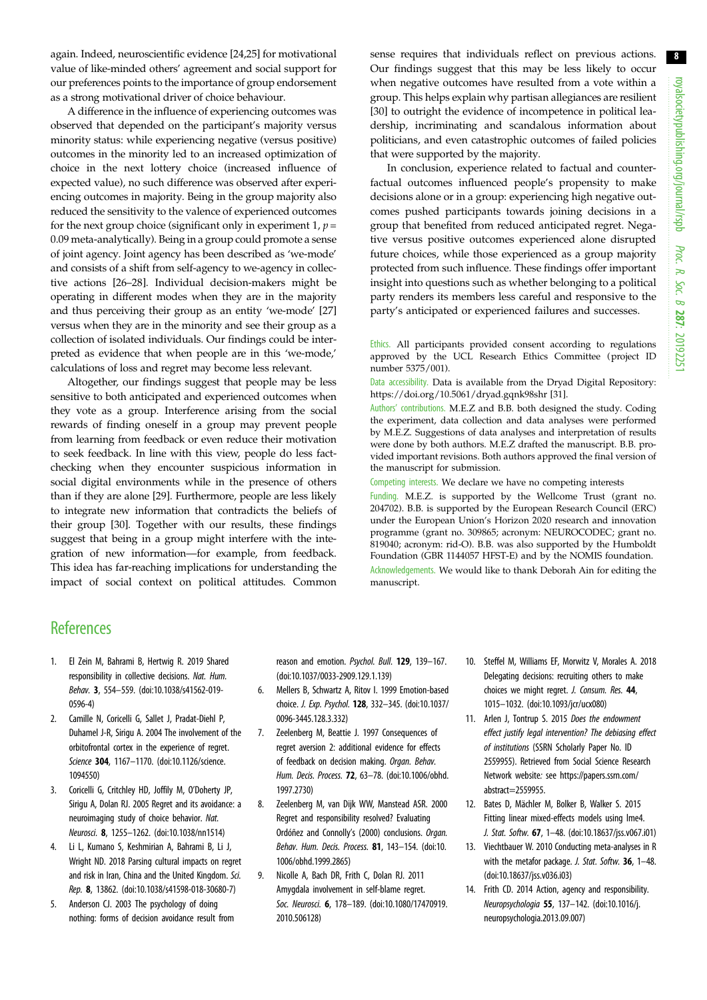<span id="page-7-0"></span>again. Indeed, neuroscientific evidence [\[24,25](#page-8-0)] for motivational value of like-minded others' agreement and social support for our preferences points to the importance of group endorsement as a strong motivational driver of choice behaviour.

A difference in the influence of experiencing outcomes was observed that depended on the participant's majority versus minority status: while experiencing negative (versus positive) outcomes in the minority led to an increased optimization of choice in the next lottery choice (increased influence of expected value), no such difference was observed after experiencing outcomes in majority. Being in the group majority also reduced the sensitivity to the valence of experienced outcomes for the next group choice (significant only in experiment 1,  $p =$ 0.09 meta-analytically). Being in a group could promote a sense of joint agency. Joint agency has been described as 'we-mode' and consists of a shift from self-agency to we-agency in collective actions [[26](#page-8-0)–[28](#page-8-0)]. Individual decision-makers might be operating in different modes when they are in the majority and thus perceiving their group as an entity 'we-mode' [[27\]](#page-8-0) versus when they are in the minority and see their group as a collection of isolated individuals. Our findings could be interpreted as evidence that when people are in this 'we-mode,' calculations of loss and regret may become less relevant.

Altogether, our findings suggest that people may be less sensitive to both anticipated and experienced outcomes when they vote as a group. Interference arising from the social rewards of finding oneself in a group may prevent people from learning from feedback or even reduce their motivation to seek feedback. In line with this view, people do less factchecking when they encounter suspicious information in social digital environments while in the presence of others than if they are alone [\[29](#page-8-0)]. Furthermore, people are less likely to integrate new information that contradicts the beliefs of their group [\[30](#page-8-0)]. Together with our results, these findings suggest that being in a group might interfere with the integration of new information—for example, from feedback. This idea has far-reaching implications for understanding the impact of social context on political attitudes. Common sense requires that individuals reflect on previous actions. Our findings suggest that this may be less likely to occur when negative outcomes have resulted from a vote within a group. This helps explain why partisan allegiances are resilient [[30\]](#page-8-0) to outright the evidence of incompetence in political leadership, incriminating and scandalous information about politicians, and even catastrophic outcomes of failed policies that were supported by the majority.

In conclusion, experience related to factual and counterfactual outcomes influenced people's propensity to make decisions alone or in a group: experiencing high negative outcomes pushed participants towards joining decisions in a group that benefited from reduced anticipated regret. Negative versus positive outcomes experienced alone disrupted future choices, while those experienced as a group majority protected from such influence. These findings offer important insight into questions such as whether belonging to a political party renders its members less careful and responsive to the party's anticipated or experienced failures and successes.

Ethics. All participants provided consent according to regulations approved by the UCL Research Ethics Committee (project ID number 5375/001).

Data accessibility. Data is available from the Dryad Digital Repository: <https://doi.org/10.5061/dryad.gqnk98shr> [\[31](#page-8-0)].

Authors' contributions. M.E.Z and B.B. both designed the study. Coding the experiment, data collection and data analyses were performed by M.E.Z. Suggestions of data analyses and interpretation of results were done by both authors. M.E.Z drafted the manuscript. B.B. provided important revisions. Both authors approved the final version of the manuscript for submission.

Competing interests. We declare we have no competing interests

Funding. M.E.Z. is supported by the Wellcome Trust (grant no. 204702). B.B. is supported by the European Research Council (ERC) under the European Union's Horizon 2020 research and innovation programme (grant no. 309865; acronym: NEUROCODEC; grant no. 819040; acronym: rid-O). B.B. was also supported by the Humboldt Foundation (GBR 1144057 HFST-E) and by the NOMIS foundation. Acknowledgements. We would like to thank Deborah Ain for editing the

### **References**

- 1. El Zein M, Bahrami B, Hertwig R. 2019 Shared responsibility in collective decisions. Nat. Hum. Behav. 3, 554–559. [\(doi:10.1038/s41562-019-](http://dx.doi.org/10.1038/s41562-019-0596-4) [0596-4](http://dx.doi.org/10.1038/s41562-019-0596-4))
- 2. Camille N, Coricelli G, Sallet J, Pradat-Diehl P, Duhamel J-R, Sirigu A. 2004 The involvement of the orbitofrontal cortex in the experience of regret. Science 304, 1167-1170. ([doi:10.1126/science.](http://dx.doi.org/10.1126/science.1094550) [1094550\)](http://dx.doi.org/10.1126/science.1094550)
- 3. Coricelli G, Critchley HD, Joffily M, O'Doherty JP, Sirigu A, Dolan RJ. 2005 Regret and its avoidance: a neuroimaging study of choice behavior. Nat. Neurosci. 8, 1255–1262. [\(doi:10.1038/nn1514](http://dx.doi.org/10.1038/nn1514))
- 4. Li L, Kumano S, Keshmirian A, Bahrami B, Li J, Wright ND. 2018 Parsing cultural impacts on regret and risk in Iran, China and the United Kingdom. Sci. Rep. 8, 13862. ([doi:10.1038/s41598-018-30680-7](http://dx.doi.org/10.1038/s41598-018-30680-7))
- 5. Anderson CJ. 2003 The psychology of doing nothing: forms of decision avoidance result from

reason and emotion. Psychol. Bull. 129, 139–167. [\(doi:10.1037/0033-2909.129.1.139\)](http://dx.doi.org/10.1037/0033-2909.129.1.139)

manuscript.

- 6. Mellers B, Schwartz A, Ritov I. 1999 Emotion-based choice. J. Exp. Psychol. 128, 332–345. [\(doi:10.1037/](http://dx.doi.org/10.1037/0096-3445.128.3.332) [0096-3445.128.3.332\)](http://dx.doi.org/10.1037/0096-3445.128.3.332)
- 7. Zeelenberg M, Beattie J. 1997 Consequences of regret aversion 2: additional evidence for effects of feedback on decision making. Organ. Behav. Hum. Decis. Process. 72, 63–78. ([doi:10.1006/obhd.](http://dx.doi.org/10.1006/obhd.1997.2730) [1997.2730\)](http://dx.doi.org/10.1006/obhd.1997.2730)
- 8. Zeelenberg M, van Dijk WW, Manstead ASR. 2000 Regret and responsibility resolved? Evaluating Ordóñez and Connolly's (2000) conclusions. Organ. Behav. Hum. Decis. Process. 81, 143–154. [\(doi:10.](http://dx.doi.org/10.1006/obhd.1999.2865) [1006/obhd.1999.2865](http://dx.doi.org/10.1006/obhd.1999.2865))
- 9. Nicolle A, Bach DR, Frith C, Dolan RJ. 2011 Amygdala involvement in self-blame regret. Soc. Neurosci. 6, 178–189. ([doi:10.1080/17470919.](http://dx.doi.org/10.1080/17470919.2010.506128) [2010.506128](http://dx.doi.org/10.1080/17470919.2010.506128))
- 10. Steffel M, Williams EF, Morwitz V, Morales A. 2018 Delegating decisions: recruiting others to make choices we might regret. J. Consum. Res. 44, 1015–1032. [\(doi:10.1093/jcr/ucx080\)](http://dx.doi.org/10.1093/jcr/ucx080)
- 11. Arlen J, Tontrup S. 2015 Does the endowment effect justify legal intervention? The debiasing effect of institutions (SSRN Scholarly Paper No. ID 2559955). Retrieved from Social Science Research Network website: see [https://papers.ssrn.com/](https://papers.ssrn.com/abstract=2559955) [abstract=2559955.](https://papers.ssrn.com/abstract=2559955)
- 12. Bates D, Mächler M, Bolker B, Walker S. 2015 Fitting linear mixed-effects models using lme4. J. Stat. Softw. 67, 1–48. ([doi:10.18637/jss.v067.i01](http://dx.doi.org/10.18637/jss.v067.i01))
- 13. Viechtbauer W. 2010 Conducting meta-analyses in R with the metafor package. J. Stat. Softw. 36, 1-48. ([doi:10.18637/jss.v036.i03\)](http://dx.doi.org/10.18637/jss.v036.i03)
- 14. Frith CD. 2014 Action, agency and responsibility. Neuropsychologia 55, 137–142. ([doi:10.1016/j.](http://dx.doi.org/10.1016/j.neuropsychologia.2013.09.007) [neuropsychologia.2013.09.007\)](http://dx.doi.org/10.1016/j.neuropsychologia.2013.09.007)